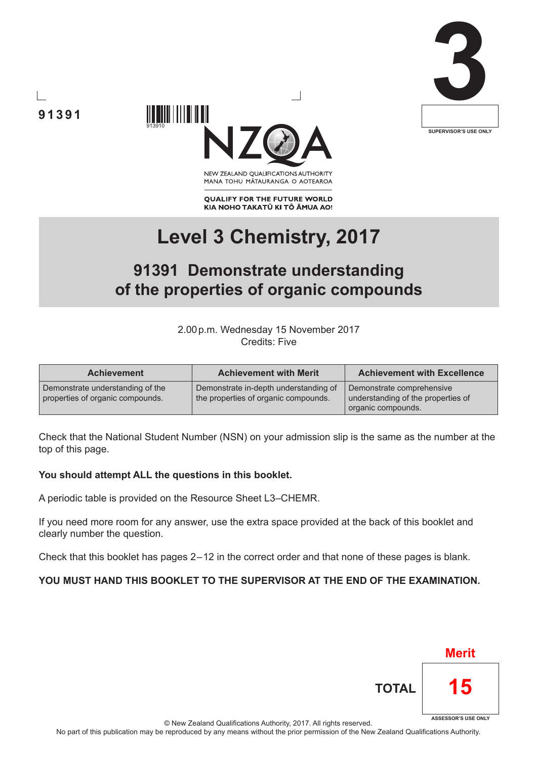





NEW ZEALAND OUALIFICATIONS AUTHORITY MANA TOHU MĀTAURANGA O AOTEAROA

**QUALIFY FOR THE FUTURE WORLD** KIA NOHO TAKATŪ KI TŌ ĀMUA AO!

# **Level 3 Chemistry, 2017**

# **91391 Demonstrate understanding of the properties of organic compounds**

2.00p.m. Wednesday 15 November 2017 Credits: Five

| <b>Achievement</b>                                                   | <b>Achievement with Merit</b>                                                 | <b>Achievement with Excellence</b>                                                    |  |
|----------------------------------------------------------------------|-------------------------------------------------------------------------------|---------------------------------------------------------------------------------------|--|
| Demonstrate understanding of the<br>properties of organic compounds. | Demonstrate in-depth understanding of<br>the properties of organic compounds. | Demonstrate comprehensive<br>understanding of the properties of<br>organic compounds. |  |

Check that the National Student Number (NSN) on your admission slip is the same as the number at the top of this page.

#### **You should attempt ALL the questions in this booklet.**

A periodic table is provided on the Resource Sheet L3–CHEMR.

If you need more room for any answer, use the extra space provided at the back of this booklet and clearly number the question.

Check that this booklet has pages 2 – 12 in the correct order and that none of these pages is blank.

# **YOU MUST HAND THIS BOOKLET TO THE SUPERVISOR AT THE END OF THE EXAMINATION.**



© New Zealand Qualifications Authority, 2017. All rights reserved.

No part of this publication may be reproduced by any means without the prior permission of the New Zealand Qualifications Authority.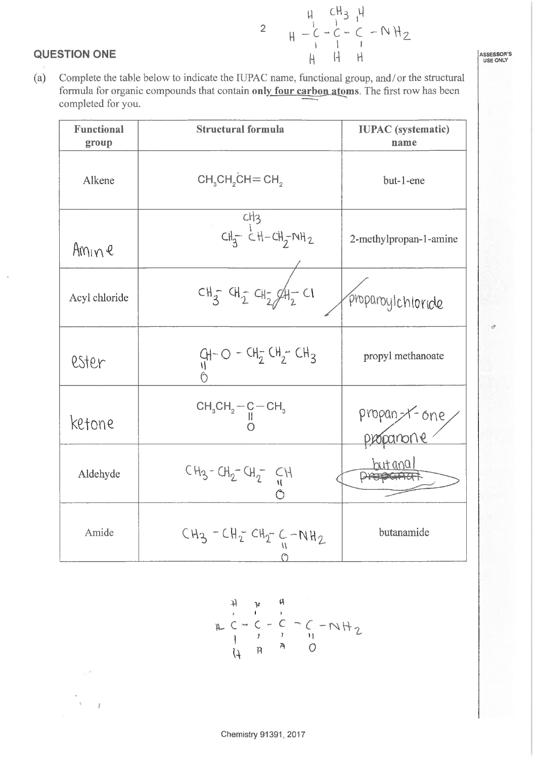#### **QUESTION ONE**

 $H - C - C - C - N H_2$  $\overline{2}$  $\mathsf{H}$  $\overline{H}$  $H$ 

ASSESSOR'S

Complete the table below to indicate the IUPAC name, functional group, and/or the structural  $(a)$ formula for organic compounds that contain only four carbon atoms. The first row has been completed for you.

| <b>Functional</b><br>group | <b>Structural formula</b>                | <b>IUPAC</b> (systematic)<br>name |  |
|----------------------------|------------------------------------------|-----------------------------------|--|
| Alkene                     | $CH3CH2CH=CH2$                           | but-1-ene                         |  |
| Amine                      | CH <sub>3</sub><br>$CH_3^ CH-CH_7^ NH_2$ | 2-methylpropan-1-amine            |  |
| Acyl chloride              | $CH_{3}^ CH_{2}^ CH_{2}^ H_{2}^ Cl$      | proparoylchloride                 |  |
| ester                      | $Q_1 - Q - CH_2 CH_2 - CH_3$             | propyl methanoate                 |  |
| ketone                     | $CH_3CH_2-C-CH_3$                        | propan-x-one<br>poponone          |  |
| Aldehyde                   | $CH_3 - CH_2 - CH_2 - CH$                |                                   |  |
| Amide                      | $CH_3 - CH_2$ $CH_2$ $C + NH_2$          | butanamide                        |  |

 $H$   $\mu$   $C = C - C - C - NH_2$ <br>  $H$   $T$   $T$   $T$   $T$ <br>  $T$   $R$   $A$   $C$  $\downarrow$ 

Chemistry 91391, 2017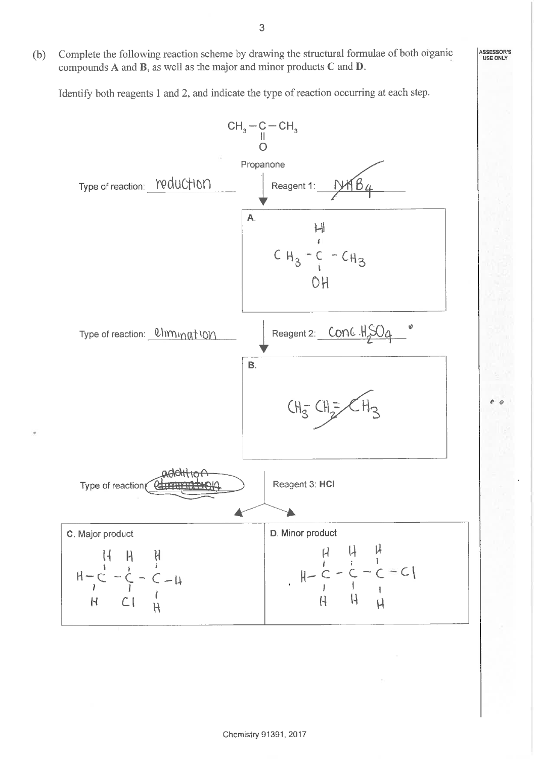Complete the following reaction scheme by drawing the structural formulae of both organic  $(b)$ compounds  $A$  and  $B$ , as well as the major and minor products  $C$  and  $D$ .

Identify both reagents 1 and 2, and indicate the type of reaction occurring at each step.



Chemistry 91391, 2017

ASSESSOR'S<br>USE ONLY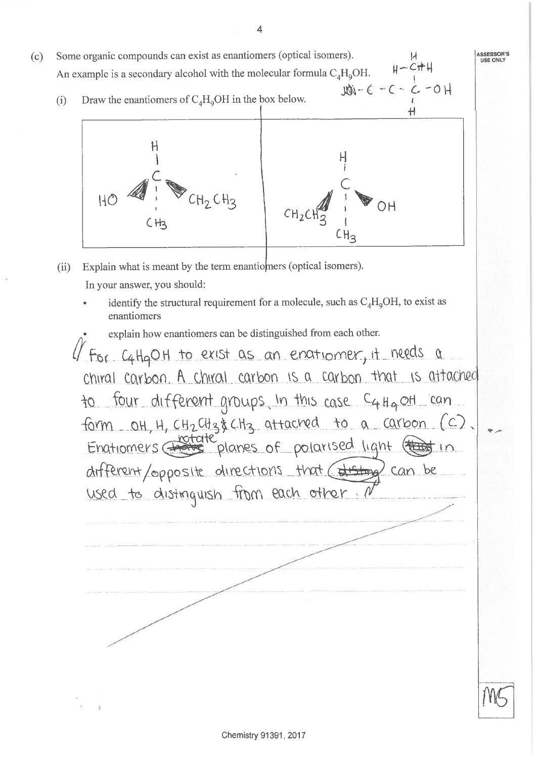Some organic compounds can exist as enantiomers (optical isomers).  $(c)$ **USE ONLY**  $H - CHH$ An example is a secondary alcohol with the molecular formula  $C_4H_9OH$ .  $H0 - 5 - 2 - 3 - 6$ Draw the enantiomers of  $C_A H_0OH$  in the box below.  $(i)$ Н Ή  $HC$ OН  $CH<sub>2</sub>$  $CH<sub>3</sub>$ Explain what is meant by the term enantiomers (optical isomers).  $(ii)$ In your answer, you should: identify the structural requirement for a molecule, such as  $C_4H_9OH$ , to exist as enantiomers explain how enantiomers can be distinguished from each other. For C4HgOH to exist as an enatiomer, it needs a chiral carbon. A chiral carbon is a carbon that is attached to four different groups in this case C4 Hg off can. form OH, H, CH2CH3& CH3 attacred to a carbon (C).<br>Enatiomers <del>for de</del> planes of polarised light (that in different/opposite directions that (disting) can be used to distinguish from each other.

ASSESSOR'S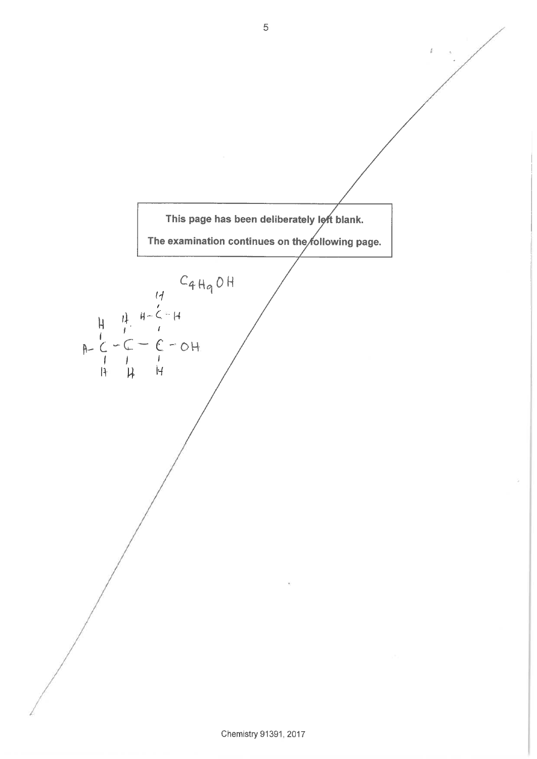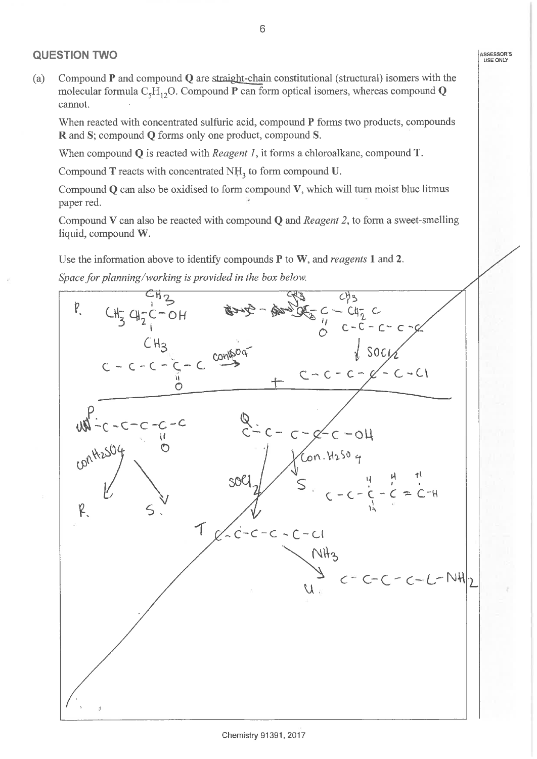### **QUESTION TWO**

Compound  $P$  and compound  $Q$  are straight-chain constitutional (structural) isomers with the  $(a)$ molecular formula  $C_5H_{12}O$ . Compound **P** can form optical isomers, whereas compound **Q** cannot.

When reacted with concentrated sulfuric acid, compound P forms two products, compounds R and S; compound Q forms only one product, compound S.

When compound  $Q$  is reacted with *Reagent 1*, it forms a chloroalkane, compound  $T$ .

Compound  $T$  reacts with concentrated  $NH<sub>3</sub>$  to form compound U.

Compound  $Q$  can also be oxidised to form compound  $V$ , which will turn moist blue litmus paper red.

Compound V can also be reacted with compound  $Q$  and *Reagent 2*, to form a sweet-smelling liquid, compound W.

Use the information above to identify compounds  $P$  to  $W$ , and *reagents* 1 and 2.

Space for planning/working is provided in the box below.

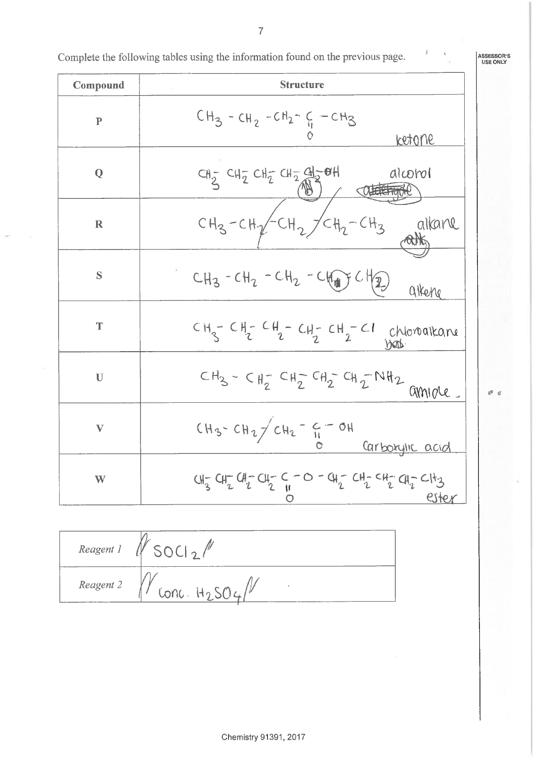Complete the following tables using the information found on the previous page.

ASSESSOR'S<br>USE ONLY

 $\mathcal{O} \parallel \mathcal{C}$ 

| Compound                  | <b>Structure</b>                                                                                                                                                                                                                                                              |  |  |
|---------------------------|-------------------------------------------------------------------------------------------------------------------------------------------------------------------------------------------------------------------------------------------------------------------------------|--|--|
| ${\bf P}$                 | $CH_3$ - $CH_2$ - $CH_2$ - $CH_2$ - $C$ - $CH_3$<br><u>ketone</u>                                                                                                                                                                                                             |  |  |
| Q                         | alcorol<br>$CH_2$ $CH_2$ $CH_2$ $CH_2$ $CH_2$ $CH_2$ $CH_2$ $CH_2$ $CH_2$ $CH_2$ $CH_2$ $CH_2$ $CH_2$ $CH_2$ $CH_2$ $CH_2$ $CH_2$ $CH_2$ $CH_2$ $CH_2$ $CH_2$ $CH_2$ $CH_2$ $CH_2$ $CH_2$ $CH_2$ $CH_2$ $CH_2$ $CH_2$ $CH_2$ $CH_2$ $CH_2$ $CH_2$ $CH_2$ $CH_2$ $CH_2$ $CH_2$ |  |  |
| $\mathbf R$               | $CH_3-CH_2-CH_2/CH_2-CH_3$<br>alkane                                                                                                                                                                                                                                          |  |  |
| S                         | $CH_3 - CH_2 - CH_2 - CH_2 - CH_2 + CH_2)$<br>alkene                                                                                                                                                                                                                          |  |  |
| T                         | $CH_3-CH_2-CH_2-CH_2-CH_2-CH_2-Cl-hionalkaner$                                                                                                                                                                                                                                |  |  |
| $\mathbf U$               | $CH_{3} - CH_{2}^{-} CH_{2}^{-} CH_{2}^{-} CH_{2}^{-} CH_{1}^{-} NH_{2}$ amigle                                                                                                                                                                                               |  |  |
| $\boldsymbol{\mathrm{V}}$ | $CH_3$ - $CH_2$ / $CH_2$ - $C = OH$<br><u>Carboxylic acid</u>                                                                                                                                                                                                                 |  |  |
| W                         | $CH_3^- \tCH_2^- \tCH_2^- \tCH_2^- \tC - O - CH_2^- \tCH_2^- \tCH_2^- \tCH_2^- \tCH_2^+$<br>ester                                                                                                                                                                             |  |  |

 $V_{SOL2}/V$ Reagent 1 Reagent 2

 $\overline{7}$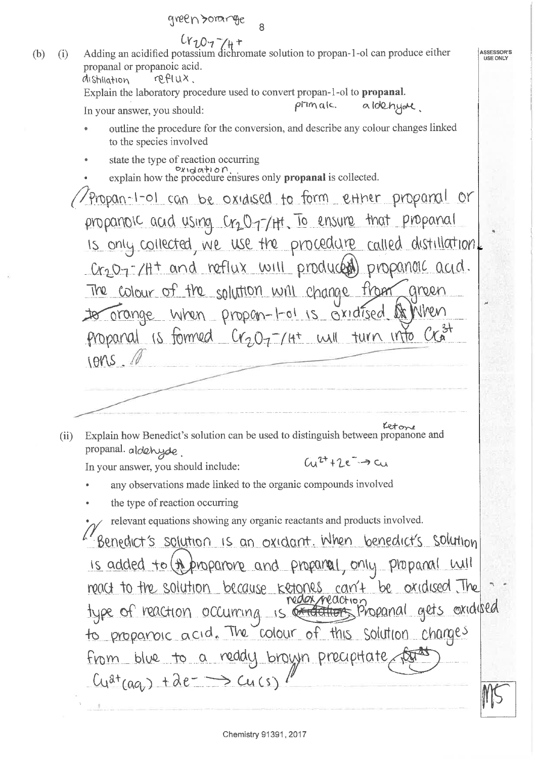$c_{\gamma}c_{\gamma}$  +<br>Adding an acidified potassium dichromate solution to propan-1-ol can produce either  $(b)$  $(i)$ ASSESSOR'S **USE ONLY** propanal or propanoic acid. reflux. distiliation Explain the laboratory procedure used to convert propan-1-ol to **propanal**.  $\rho$ i $m$ alc. aldehyar. In your answer, you should: outline the procedure for the conversion, and describe any colour changes linked to the species involved state the type of reaction occurring explain how the procedure ensures only **propanal** is collected. propan-1-01 can be oxidised to form extrem propanal or propanoic acid using Cr2077Ht. To ensure that propanal is only collected, we use the procedure called distillation. Cr207-14+ and reflux will produced propanoic acid. The colour of the solution will change from green to orange when propon-1-01 is oxidised of When propanal is formed  $C_{12}O_{7}$ - (4<sup>+</sup> will turn into  $10MS. A$ Letone Explain how Benedict's solution can be used to distinguish between propanone and  $(ii)$ propanal. aldehyde.  $(u^{\tau+1}e^{-}\rightarrow cu)$ In your answer, you should include: any observations made linked to the organic compounds involved the type of reaction occurring relevant equations showing any organic reactants and products involved. Benedict's solution is an oxidant. When benedict's solution is added to (A proparore and proparel, only proparal will meact to the solution because ketones can't be oxidised The to proparoic acid. The colour of this solution changes From blue to a reddy brown precipitate for a  $Cu^{at}(aa) + ae^{-} \rightarrow Cu(s)$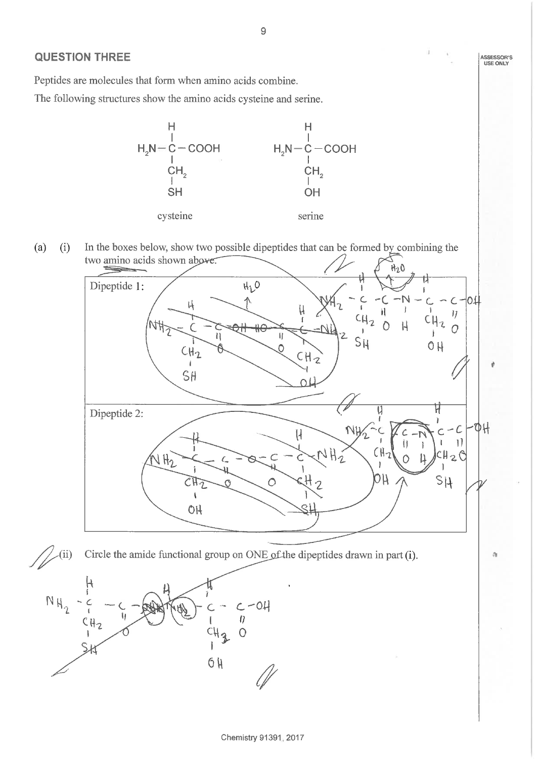## **QUESTION THREE**

Peptides are molecules that form when amino acids combine.

The following structures show the amino acids cysteine and serine.



 $(a)$  $(i)$ In the boxes below, show two possible dipeptides that can be formed by combining the two amino acids shown above.





9

ASSESSOR'S<br>USE ONLY

ð.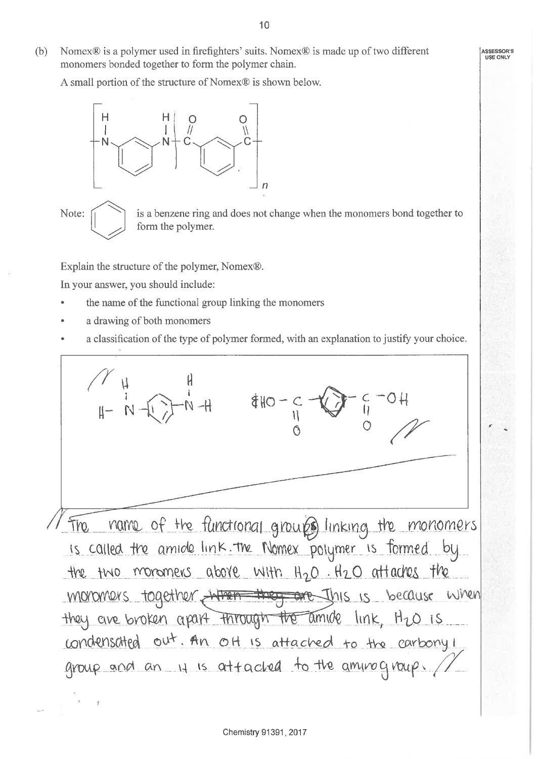$(b)$ Nomex® is a polymer used in firefighters' suits. Nomex® is made up of two different monomers bonded together to form the polymer chain.

A small portion of the structure of Nomex® is shown below.



Note:

 $\frac{3}{2}$ 

is a benzene ring and does not change when the monomers bond together to form the polymer.

Explain the structure of the polymer, Nomex®.

In your answer, you should include:

- the name of the functional group linking the monomers
- a drawing of both monomers
- a classification of the type of polymer formed, with an explanation to justify your choice.

 $440 - C \overline{y}$   $\overline{y}$ The name of the functional groups linking the monomers is called the amide link. The Nomex polymer is formed by the two monomers above with H<sub>2</sub>O. H2O attaches the moromers together when they are this is because when they are broken apart through the amide link, H2O is condensated out. An off is attached to the carbony i group and an 11 is attacked to the aminogroup. //

**ASSESSOR'S USE ONLY**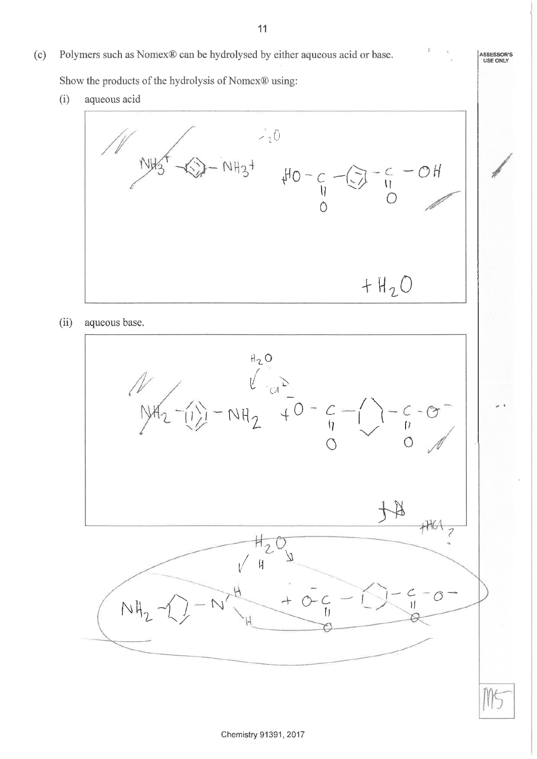Polymers such as Nomex® can be hydrolysed by either aqueous acid or base.  $(c)$ 

Show the products of the hydrolysis of Nomex® using:

 $(i)$ aqueous acid



 $(ii)$ aqueous base.



ASSESSOR'S<br>USE ONLY